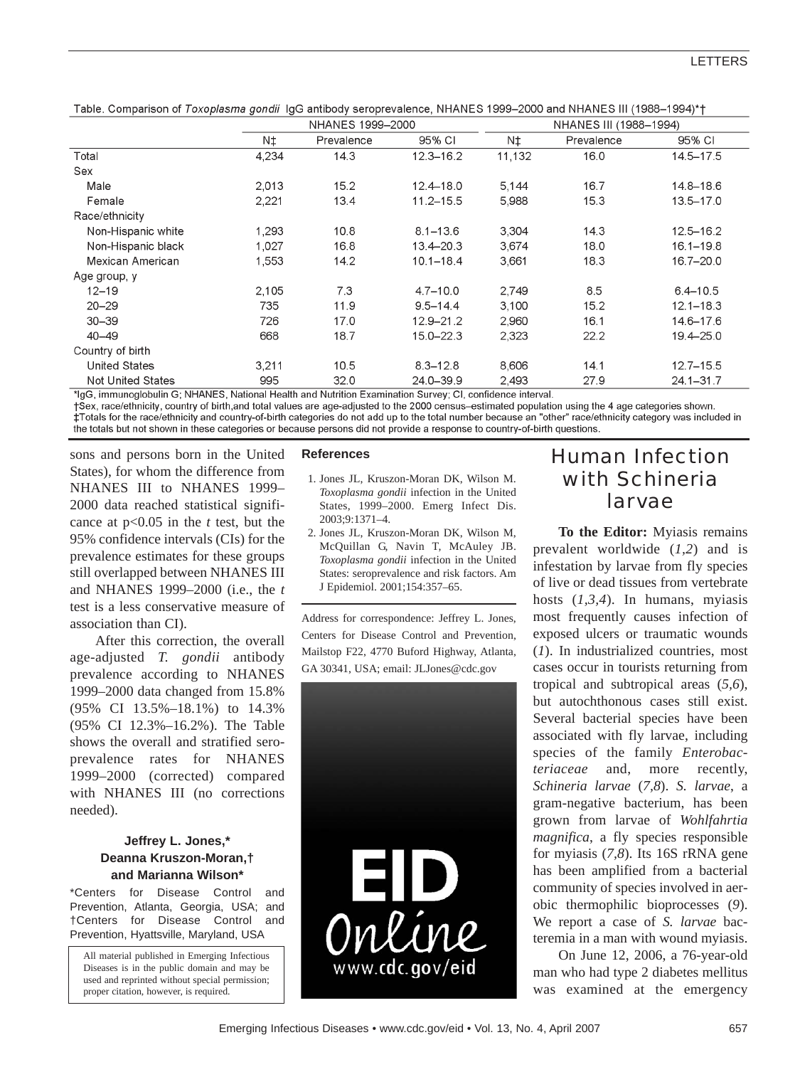Table. Comparison of Toxoplasma gondii IgG antibody seroprevalence, NHANES 1999-2000 and NHANES III (1988-1994)\*†

|                                                                                                           | NHANES 1999-2000 |            |               | NHANES III (1988-1994) |            |               |
|-----------------------------------------------------------------------------------------------------------|------------------|------------|---------------|------------------------|------------|---------------|
|                                                                                                           | N‡               | Prevalence | 95% CI        | N‡                     | Prevalence | 95% CI        |
| Total                                                                                                     | 4.234            | 14.3       | $12.3 - 16.2$ | 11.132                 | 16.0       | 14.5-17.5     |
| Sex                                                                                                       |                  |            |               |                        |            |               |
| Male                                                                                                      | 2,013            | 15.2       | $12.4 - 18.0$ | 5,144                  | 16.7       | 14.8-18.6     |
| Female                                                                                                    | 2,221            | 13.4       | $11.2 - 15.5$ | 5,988                  | 15.3       | 13.5-17.0     |
| Race/ethnicity                                                                                            |                  |            |               |                        |            |               |
| Non-Hispanic white                                                                                        | 1,293            | 10.8       | $8.1 - 13.6$  | 3,304                  | 14.3       | $12.5 - 16.2$ |
| Non-Hispanic black                                                                                        | 1,027            | 16.8       | 13.4 - 20.3   | 3,674                  | 18.0       | $16.1 - 19.8$ |
| Mexican American                                                                                          | 1,553            | 14.2       | $10.1 - 18.4$ | 3,661                  | 18.3       | 16.7-20.0     |
| Age group, y                                                                                              |                  |            |               |                        |            |               |
| $12 - 19$                                                                                                 | 2,105            | 7.3        | $4.7 - 10.0$  | 2,749                  | 8.5        | $6.4 - 10.5$  |
| $20 - 29$                                                                                                 | 735              | 11.9       | $9.5 - 14.4$  | 3,100                  | 15.2       | $12.1 - 18.3$ |
| $30 - 39$                                                                                                 | 726              | 17.0       | $12.9 - 21.2$ | 2,960                  | 16.1       | 14.6-17.6     |
| $40 - 49$                                                                                                 | 668              | 18.7       | 15.0-22.3     | 2,323                  | 22.2       | 19.4 - 25.0   |
| Country of birth                                                                                          |                  |            |               |                        |            |               |
| <b>United States</b>                                                                                      | 3,211            | 10.5       | $8.3 - 12.8$  | 8,606                  | 14.1       | $12.7 - 15.5$ |
| <b>Not United States</b><br>$*1.6$ for a set of the set $6.3$ killer in $6.3$ kills and $*1.1$ and $*1.1$ | 995              | 32.0       | 24.0-39.9     | 2,493                  | 27.9       | $24.1 - 31.7$ |

<sup>1</sup>lgG, immunoglobulin G; NHANES, National Health and Nutrition Examination Survey; CI, confidence interval.

tSex, race/ethnicity, country of birth,and total values are age-adjusted to the 2000 census–estimated population using the 4 age categories shown. #Totals for the race/ethnicity and country-of-birth categories do not add up to the total number because an "other" race/ethnicity category was included in the totals but not shown in these categories or because persons did not provide a response to country-of-birth questions.

sons and persons born in the United States), for whom the difference from NHANES III to NHANES 1999– 2000 data reached statistical significance at p<0.05 in the *t* test, but the 95% confidence intervals (CIs) for the prevalence estimates for these groups still overlapped between NHANES III and NHANES 1999–2000 (i.e., the *t* test is a less conservative measure of association than CI).

After this correction, the overall age-adjusted *T. gondii* antibody prevalence according to NHANES 1999–2000 data changed from 15.8% (95% CI 13.5%–18.1%) to 14.3% (95% CI 12.3%–16.2%). The Table shows the overall and stratified seroprevalence rates for NHANES 1999–2000 (corrected) compared with NHANES III (no corrections needed).

### **Jeffrey L. Jones,\* Deanna Kruszon-Moran,† and Marianna Wilson\***

\*Centers for Disease Control and Prevention, Atlanta, Georgia, USA; and †Centers for Disease Control and Prevention, Hyattsville, Maryland, USA

All material published in Emerging Infectious Diseases is in the public domain and may be used and reprinted without special permission; proper citation, however, is required.

#### **References**

- 1. Jones JL, Kruszon-Moran DK, Wilson M. *Toxoplasma gondii* infection in the United States, 1999–2000. Emerg Infect Dis. 2003;9:1371–4.
- 2. Jones JL, Kruszon-Moran DK, Wilson M, McQuillan G, Navin T, McAuley JB. *Toxoplasma gondii* infection in the United States: seroprevalence and risk factors. Am J Epidemiol. 2001;154:357–65.

Address for correspondence: Jeffrey L. Jones, Centers for Disease Control and Prevention, Mailstop F22, 4770 Buford Highway, Atlanta, GA 30341, USA; email: JLJones@cdc.gov



# Human Infection with *Schineria larvae*

**To the Editor:** Myiasis remains prevalent worldwide (*1,2*) and is infestation by larvae from fly species of live or dead tissues from vertebrate hosts (*1,3,4*). In humans, myiasis most frequently causes infection of exposed ulcers or traumatic wounds (*1*). In industrialized countries, most cases occur in tourists returning from tropical and subtropical areas (*5,6*), but autochthonous cases still exist. Several bacterial species have been associated with fly larvae, including species of the family *Enterobacteriaceae* and, more recently, *Schineria larvae* (*7,8*). *S. larvae*, a gram-negative bacterium, has been grown from larvae of *Wohlfahrtia magnifica*, a fly species responsible for myiasis (*7,8*). Its 16S rRNA gene has been amplified from a bacterial community of species involved in aerobic thermophilic bioprocesses (*9*). We report a case of *S. larvae* bacteremia in a man with wound myiasis.

On June 12, 2006, a 76-year-old man who had type 2 diabetes mellitus was examined at the emergency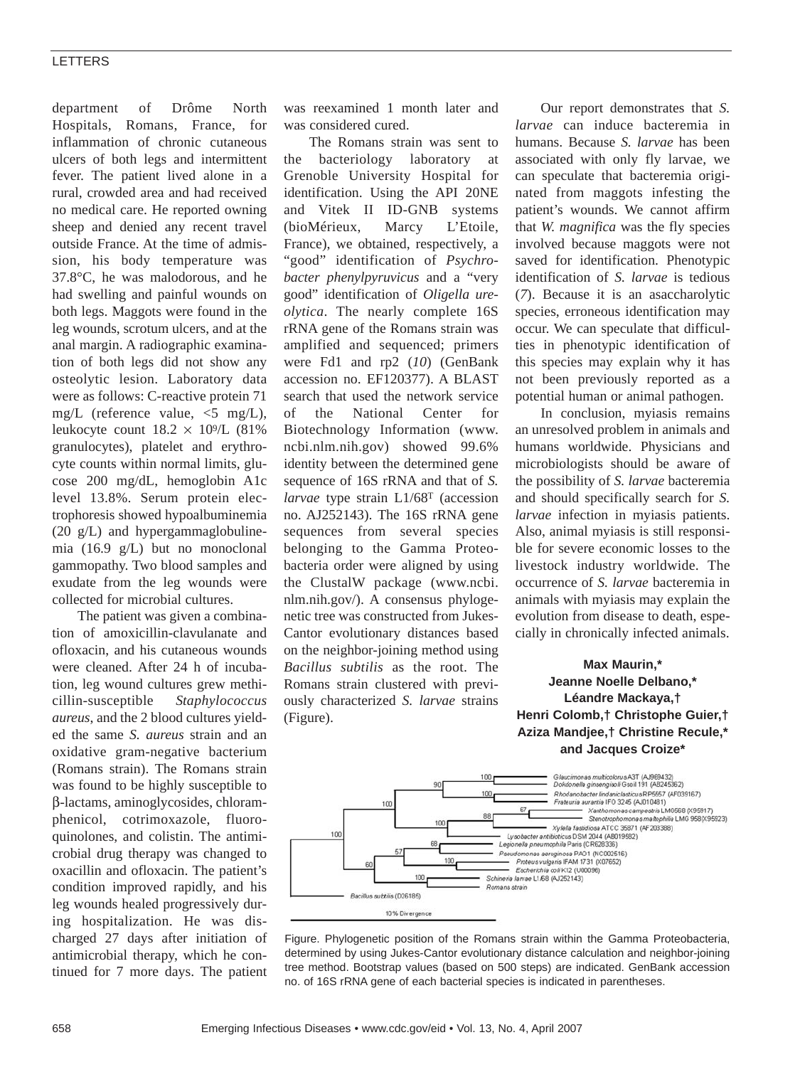### LETTERS

department of Drôme North Hospitals, Romans, France, for inflammation of chronic cutaneous ulcers of both legs and intermittent fever. The patient lived alone in a rural, crowded area and had received no medical care. He reported owning sheep and denied any recent travel outside France. At the time of admission, his body temperature was 37.8°C, he was malodorous, and he had swelling and painful wounds on both legs. Maggots were found in the leg wounds, scrotum ulcers, and at the anal margin. A radiographic examination of both legs did not show any osteolytic lesion. Laboratory data were as follows: C-reactive protein 71 mg/L (reference value, <5 mg/L), leukocyte count  $18.2 \times 10^9$ /L (81%) granulocytes), platelet and erythrocyte counts within normal limits, glucose 200 mg/dL, hemoglobin A1c level 13.8%. Serum protein electrophoresis showed hypoalbuminemia (20 g/L) and hypergammaglobulinemia (16.9 g/L) but no monoclonal gammopathy. Two blood samples and exudate from the leg wounds were collected for microbial cultures.

The patient was given a combination of amoxicillin-clavulanate and ofloxacin, and his cutaneous wounds were cleaned. After 24 h of incubation, leg wound cultures grew methicillin-susceptible *Staphylococcus aureus*, and the 2 blood cultures yielded the same *S. aureus* strain and an oxidative gram-negative bacterium (Romans strain). The Romans strain was found to be highly susceptible to β-lactams, aminoglycosides, chloramphenicol, cotrimoxazole, fluoroquinolones, and colistin. The antimicrobial drug therapy was changed to oxacillin and ofloxacin. The patient's condition improved rapidly, and his leg wounds healed progressively during hospitalization. He was discharged 27 days after initiation of antimicrobial therapy, which he continued for 7 more days. The patient

was reexamined 1 month later and was considered cured.

The Romans strain was sent to the bacteriology laboratory at Grenoble University Hospital for identification. Using the API 20NE and Vitek II ID-GNB systems (bioMérieux, Marcy L'Etoile, France), we obtained, respectively, a "good" identification of *Psychrobacter phenylpyruvicus* and a "very good" identification of *Oligella ureolytica*. The nearly complete 16S rRNA gene of the Romans strain was amplified and sequenced; primers were Fd1 and rp2 (*10*) (GenBank accession no. EF120377). A BLAST search that used the network service of the National Center for Biotechnology Information (www. ncbi.nlm.nih.gov) showed 99.6% identity between the determined gene sequence of 16S rRNA and that of *S. larvae* type strain L1/68T (accession no. AJ252143). The 16S rRNA gene sequences from several species belonging to the Gamma Proteobacteria order were aligned by using the ClustalW package (www.ncbi. nlm.nih.gov/). A consensus phylogenetic tree was constructed from Jukes-Cantor evolutionary distances based on the neighbor-joining method using *Bacillus subtilis* as the root. The Romans strain clustered with previously characterized *S. larvae* strains (Figure).

Our report demonstrates that *S. larvae* can induce bacteremia in humans. Because *S. larvae* has been associated with only fly larvae, we can speculate that bacteremia originated from maggots infesting the patient's wounds. We cannot affirm that *W. magnifica* was the fly species involved because maggots were not saved for identification. Phenotypic identification of *S. larvae* is tedious (*7*). Because it is an asaccharolytic species, erroneous identification may occur. We can speculate that difficulties in phenotypic identification of this species may explain why it has not been previously reported as a potential human or animal pathogen.

In conclusion, myiasis remains an unresolved problem in animals and humans worldwide. Physicians and microbiologists should be aware of the possibility of *S. larvae* bacteremia and should specifically search for *S. larvae* infection in myiasis patients. Also, animal myiasis is still responsible for severe economic losses to the livestock industry worldwide. The occurrence of *S. larvae* bacteremia in animals with myiasis may explain the evolution from disease to death, especially in chronically infected animals.

## **Max Maurin,\* Jeanne Noelle Delbano,\* Léandre Mackaya,† Henri Colomb,† Christophe Guier,† Aziza Mandjee,† Christine Recule,\* and Jacques Croize\***



Figure. Phylogenetic position of the Romans strain within the Gamma Proteobacteria, determined by using Jukes-Cantor evolutionary distance calculation and neighbor-joining tree method. Bootstrap values (based on 500 steps) are indicated. GenBank accession no. of 16S rRNA gene of each bacterial species is indicated in parentheses.